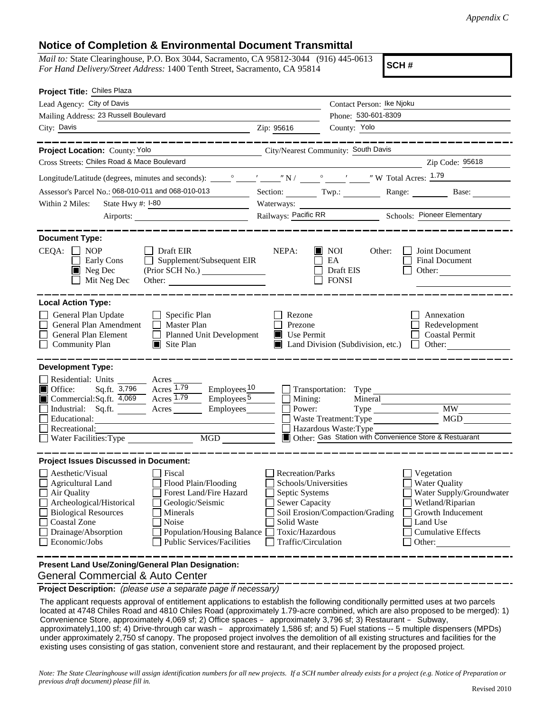## **Notice of Completion & Environmental Document Transmittal**

*Mail to:* State Clearinghouse, P.O. Box 3044, Sacramento, CA 95812-3044 (916) 445-0613 *For Hand Delivery/Street Address:* 1400 Tenth Street, Sacramento, CA 95814

**SCH #**

| Project Title: Chiles Plaza                                                                                                                                                                                                                                                                                                                                                                                    |                                                                                                                                                     |                                                                                                                                             |                                                                                                                                                            |
|----------------------------------------------------------------------------------------------------------------------------------------------------------------------------------------------------------------------------------------------------------------------------------------------------------------------------------------------------------------------------------------------------------------|-----------------------------------------------------------------------------------------------------------------------------------------------------|---------------------------------------------------------------------------------------------------------------------------------------------|------------------------------------------------------------------------------------------------------------------------------------------------------------|
| Lead Agency: City of Davis                                                                                                                                                                                                                                                                                                                                                                                     |                                                                                                                                                     | Contact Person: Ike Njoku                                                                                                                   |                                                                                                                                                            |
| Mailing Address: 23 Russell Boulevard                                                                                                                                                                                                                                                                                                                                                                          |                                                                                                                                                     | Phone: 530-601-8309                                                                                                                         |                                                                                                                                                            |
| City: Davis                                                                                                                                                                                                                                                                                                                                                                                                    | Zip: 95616                                                                                                                                          | County: Yolo                                                                                                                                |                                                                                                                                                            |
|                                                                                                                                                                                                                                                                                                                                                                                                                |                                                                                                                                                     |                                                                                                                                             |                                                                                                                                                            |
| City/Nearest Community: South Davis<br>Project Location: County: Yolo                                                                                                                                                                                                                                                                                                                                          |                                                                                                                                                     |                                                                                                                                             |                                                                                                                                                            |
| Cross Streets: Chiles Road & Mace Boulevard                                                                                                                                                                                                                                                                                                                                                                    |                                                                                                                                                     |                                                                                                                                             | Zip Code: 95618                                                                                                                                            |
|                                                                                                                                                                                                                                                                                                                                                                                                                |                                                                                                                                                     |                                                                                                                                             |                                                                                                                                                            |
| Assessor's Parcel No.: 068-010-011 and 068-010-013                                                                                                                                                                                                                                                                                                                                                             |                                                                                                                                                     |                                                                                                                                             | Section: Twp.: Range: Base:                                                                                                                                |
| Within 2 Miles:<br>State Hwy $\#$ : $I-80$                                                                                                                                                                                                                                                                                                                                                                     | Waterways: _                                                                                                                                        |                                                                                                                                             |                                                                                                                                                            |
| Airports:                                                                                                                                                                                                                                                                                                                                                                                                      |                                                                                                                                                     | Railways: Pacific RR Schools: Pioneer Elementary                                                                                            |                                                                                                                                                            |
| <b>Document Type:</b><br>CEQA:<br><b>NOP</b><br>$\Box$ Draft EIR<br>Supplement/Subsequent EIR<br>Early Cons<br>$\blacksquare$ Neg Dec<br>Mit Neg Dec<br>Other:                                                                                                                                                                                                                                                 | NEPA:<br>H                                                                                                                                          | NOI<br>Other:<br>EA<br>Draft EIS<br><b>FONSI</b>                                                                                            | Joint Document<br>Final Document<br>Other:                                                                                                                 |
| <b>Local Action Type:</b><br>General Plan Update<br>$\Box$ Specific Plan<br>General Plan Amendment<br>$\Box$ Master Plan<br>General Plan Element<br>Planned Unit Development<br><b>Community Plan</b><br>$\Box$ Site Plan                                                                                                                                                                                      | Rezone<br>Prezone<br>$\blacksquare$ Use Permit                                                                                                      | Land Division (Subdivision, etc.)                                                                                                           | Annexation<br>Redevelopment<br><b>Coastal Permit</b><br>Other:<br>$\mathbf{1}$                                                                             |
| <b>Development Type:</b><br>Residential: Units Acres<br>Acres 1.79<br>Sq.ft. 3,796<br>$Employes_1$ <sup>10</sup><br>$\blacksquare$ Office:<br>Commercial:Sq.ft. $\overline{4,069}$ Acres 1.79<br>Employes <sup>5</sup><br>Industrial: Sq.ft. _______ Acres ______<br>Employees________<br>Educational:<br>Recreational:<br>MGD <sup>1</sup>                                                                    | Mining:<br>Power:                                                                                                                                   | Transportation: Type<br>Mineral<br>Waste Treatment: Type<br>Hazardous Waste: Type<br>Other: Gas Station with Convenience Store & Restuarant | <b>MW</b><br>MGD                                                                                                                                           |
| <b>Project Issues Discussed in Document:</b><br>Aesthetic/Visual<br>Fiscal<br><b>Agricultural Land</b><br>Flood Plain/Flooding<br>Forest Land/Fire Hazard<br>Air Quality<br>Archeological/Historical<br>Geologic/Seismic<br><b>Biological Resources</b><br>Minerals<br><b>Coastal Zone</b><br>Noise<br>Drainage/Absorption<br>Population/Housing Balance<br>Economic/Jobs<br><b>Public Services/Facilities</b> | <b>Recreation/Parks</b><br>Schools/Universities<br>Septic Systems<br><b>Sewer Capacity</b><br>Solid Waste<br>Toxic/Hazardous<br>Traffic/Circulation | Soil Erosion/Compaction/Grading                                                                                                             | Vegetation<br><b>Water Quality</b><br>Water Supply/Groundwater<br>Wetland/Riparian<br>Growth Inducement<br>Land Use<br><b>Cumulative Effects</b><br>Other: |
| Present Land Use/Zoning/General Plan Designation:                                                                                                                                                                                                                                                                                                                                                              |                                                                                                                                                     |                                                                                                                                             |                                                                                                                                                            |

General Commercial & Auto Center

**Project Description:** *(please use a separate page if necessary)*

 The applicant requests approval of entitlement applications to establish the following conditionally permitted uses at two parcels located at 4748 Chiles Road and 4810 Chiles Road (approximately 1.79-acre combined, which are also proposed to be merged): 1) Convenience Store, approximately 4,069 sf; 2) Office spaces – approximately 3,796 sf; 3) Restaurant – Subway, approximately1,100 sf; 4) Drive-through car wash – approximately 1,586 sf; and 5) Fuel stations -- 5 multiple dispensers (MPDs) under approximately 2,750 sf canopy. The proposed project involves the demolition of all existing structures and facilities for the existing uses consisting of gas station, convenient store and restaurant, and their replacement by the proposed project.

*Note: The State Clearinghouse will assign identification numbers for all new projects. If a SCH number already exists for a project (e.g. Notice of Preparation or previous draft document) please fill in.*